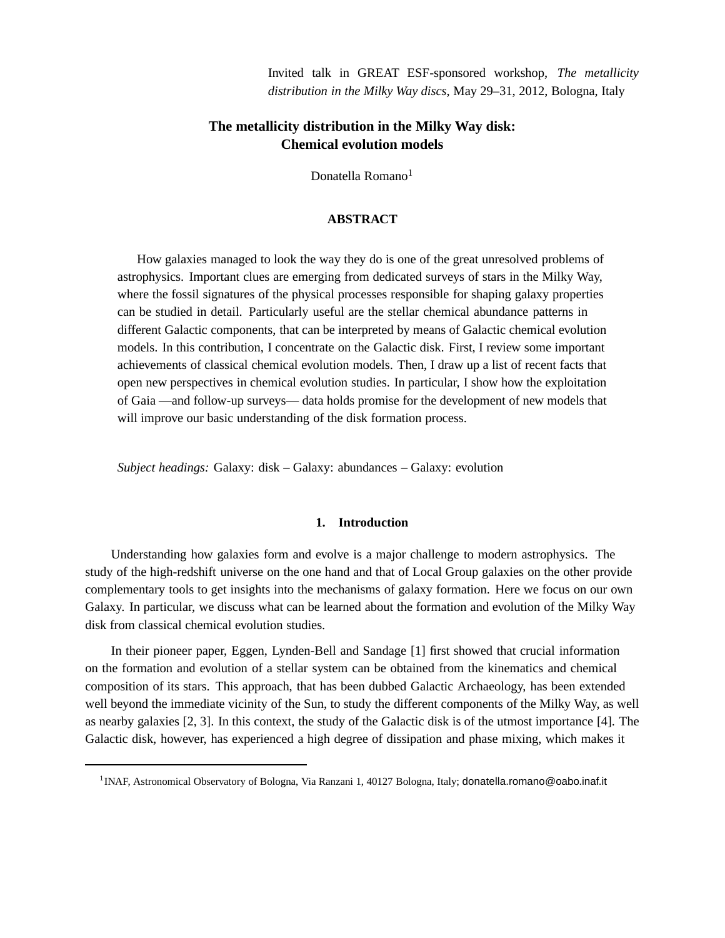Invited talk in GREAT ESF-sponsored workshop, *The metallicity distribution in the Milky Way discs*, May 29–31, 2012, Bologna, Italy

# **The metallicity distribution in the Milky Way disk: Chemical evolution models**

Donatella Romano<sup>1</sup>

## **ABSTRACT**

How galaxies managed to look the way they do is one of the great unresolved problems of astrophysics. Important clues are emerging from dedicated surveys of stars in the Milky Way, where the fossil signatures of the physical processes responsible for shaping galaxy properties can be studied in detail. Particularly useful are the stellar chemical abundance patterns in different Galactic components, that can be interpreted by means of Galactic chemical evolution models. In this contribution, I concentrate on the Galactic disk. First, I review some important achievements of classical chemical evolution models. Then, I draw up a list of recent facts that open new perspectives in chemical evolution studies. In particular, I show how the exploitation of Gaia —and follow-up surveys— data holds promise for the development of new models that will improve our basic understanding of the disk formation process.

*Subject headings:* Galaxy: disk – Galaxy: abundances – Galaxy: evolution

#### **1. Introduction**

Understanding how galaxies form and evolve is a major challenge to modern astrophysics. The study of the high-redshift universe on the one hand and that of Local Group galaxies on the other provide complementary tools to get insights into the mechanisms of galaxy formation. Here we focus on our own Galaxy. In particular, we discuss what can be learned about the formation and evolution of the Milky Way disk from classical chemical evolution studies.

In their pioneer paper, Eggen, Lynden-Bell and Sandage [1] first showed that crucial information on the formation and evolution of a stellar system can be obtained from the kinematics and chemical composition of its stars. This approach, that has been dubbed Galactic Archaeology, has been extended well beyond the immediate vicinity of the Sun, to study the different components of the Milky Way, as well as nearby galaxies [2, 3]. In this context, the study of the Galactic disk is of the utmost importance [4]. The Galactic disk, however, has experienced a high degree of dissipation and phase mixing, which makes it

<sup>&</sup>lt;sup>1</sup> INAF, Astronomical Observatory of Bologna, Via Ranzani 1, 40127 Bologna, Italy; donatella.romano@oabo.inaf.it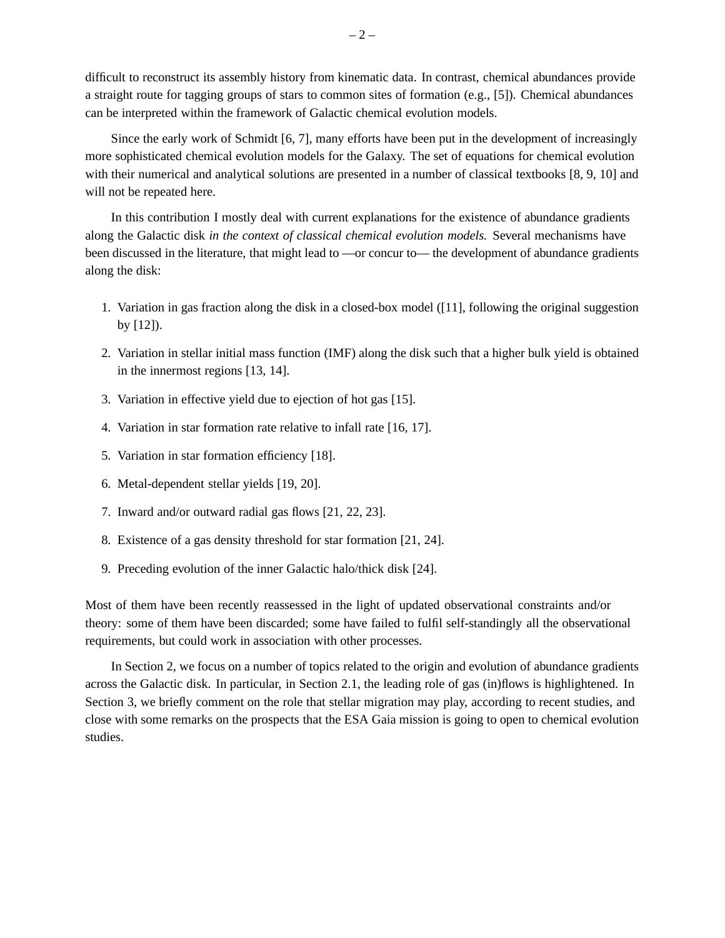difficult to reconstruct its assembly history from kinematic data. In contrast, chemical abundances provide a straight route for tagging groups of stars to common sites of formation (e.g., [5]). Chemical abundances can be interpreted within the framework of Galactic chemical evolution models.

Since the early work of Schmidt [6, 7], many efforts have been put in the development of increasingly more sophisticated chemical evolution models for the Galaxy. The set of equations for chemical evolution with their numerical and analytical solutions are presented in a number of classical textbooks [8, 9, 10] and will not be repeated here.

In this contribution I mostly deal with current explanations for the existence of abundance gradients along the Galactic disk *in the context of classical chemical evolution models.* Several mechanisms have been discussed in the literature, that might lead to —or concur to— the development of abundance gradients along the disk:

- 1. Variation in gas fraction along the disk in a closed-box model ([11], following the original suggestion by [12]).
- 2. Variation in stellar initial mass function (IMF) along the disk such that a higher bulk yield is obtained in the innermost regions [13, 14].
- 3. Variation in effective yield due to ejection of hot gas [15].
- 4. Variation in star formation rate relative to infall rate [16, 17].
- 5. Variation in star formation efficiency [18].
- 6. Metal-dependent stellar yields [19, 20].
- 7. Inward and/or outward radial gas flows [21, 22, 23].
- 8. Existence of a gas density threshold for star formation [21, 24].
- 9. Preceding evolution of the inner Galactic halo/thick disk [24].

Most of them have been recently reassessed in the light of updated observational constraints and/or theory: some of them have been discarded; some have failed to fulfil self-standingly all the observational requirements, but could work in association with other processes.

In Section 2, we focus on a number of topics related to the origin and evolution of abundance gradients across the Galactic disk. In particular, in Section 2.1, the leading role of gas (in)flows is highlightened. In Section 3, we briefly comment on the role that stellar migration may play, according to recent studies, and close with some remarks on the prospects that the ESA Gaia mission is going to open to chemical evolution studies.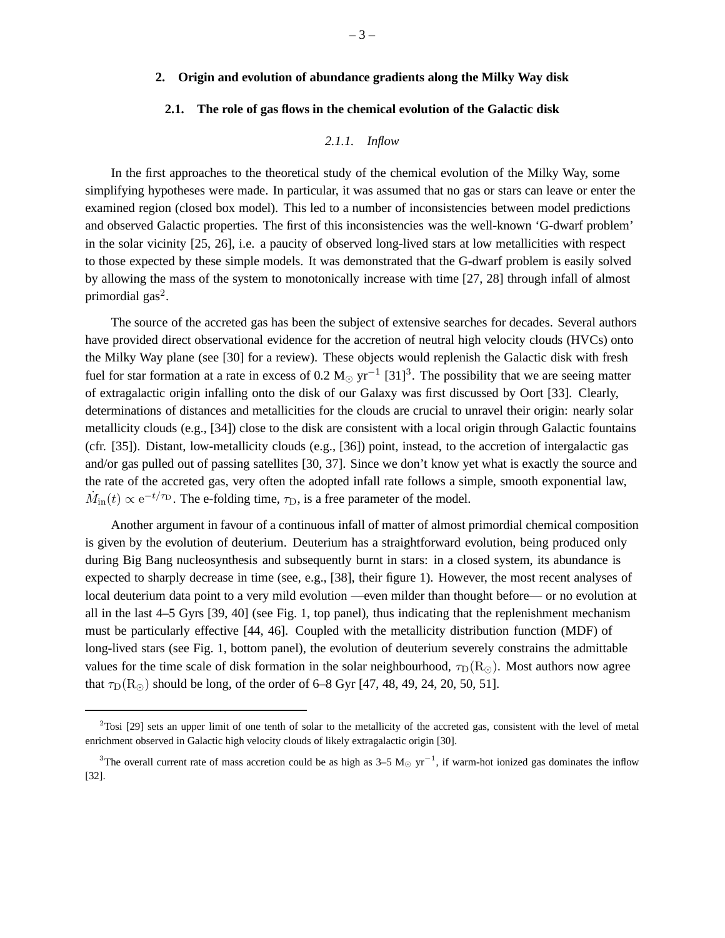# **2. Origin and evolution of abundance gradients along the Milky Way disk**

#### **2.1. The role of gas flows in the chemical evolution of the Galactic disk**

### *2.1.1. Inflow*

In the first approaches to the theoretical study of the chemical evolution of the Milky Way, some simplifying hypotheses were made. In particular, it was assumed that no gas or stars can leave or enter the examined region (closed box model). This led to a number of inconsistencies between model predictions and observed Galactic properties. The first of this inconsistencies was the well-known 'G-dwarf problem' in the solar vicinity [25, 26], i.e. a paucity of observed long-lived stars at low metallicities with respect to those expected by these simple models. It was demonstrated that the G-dwarf problem is easily solved by allowing the mass of the system to monotonically increase with time [27, 28] through infall of almost primordial  $gas<sup>2</sup>$ .

The source of the accreted gas has been the subject of extensive searches for decades. Several authors have provided direct observational evidence for the accretion of neutral high velocity clouds (HVCs) onto the Milky Way plane (see [30] for a review). These objects would replenish the Galactic disk with fresh fuel for star formation at a rate in excess of 0.2 M<sub>☉</sub> yr<sup>-1</sup> [31]<sup>3</sup>. The possibility that we are seeing matter of extragalactic origin infalling onto the disk of our Galaxy was first discussed by Oort [33]. Clearly, determinations of distances and metallicities for the clouds are crucial to unravel their origin: nearly solar metallicity clouds (e.g., [34]) close to the disk are consistent with a local origin through Galactic fountains (cfr. [35]). Distant, low-metallicity clouds (e.g., [36]) point, instead, to the accretion of intergalactic gas and/or gas pulled out of passing satellites [30, 37]. Since we don't know yet what is exactly the source and the rate of the accreted gas, very often the adopted infall rate follows a simple, smooth exponential law,  $\dot{M}_{\text{in}}(t) \propto e^{-t/\tau_D}$ . The e-folding time,  $\tau_D$ , is a free parameter of the model.

Another argument in favour of a continuous infall of matter of almost primordial chemical composition is given by the evolution of deuterium. Deuterium has a straightforward evolution, being produced only during Big Bang nucleosynthesis and subsequently burnt in stars: in a closed system, its abundance is expected to sharply decrease in time (see, e.g., [38], their figure 1). However, the most recent analyses of local deuterium data point to a very mild evolution —even milder than thought before— or no evolution at all in the last 4–5 Gyrs [39, 40] (see Fig. 1, top panel), thus indicating that the replenishment mechanism must be particularly effective [44, 46]. Coupled with the metallicity distribution function (MDF) of long-lived stars (see Fig. 1, bottom panel), the evolution of deuterium severely constrains the admittable values for the time scale of disk formation in the solar neighbourhood,  $\tau_D(R_{\odot})$ . Most authors now agree that  $\tau_D(R_{\odot})$  should be long, of the order of 6–8 Gyr [47, 48, 49, 24, 20, 50, 51].

 $2T$ osi [29] sets an upper limit of one tenth of solar to the metallicity of the accreted gas, consistent with the level of metal enrichment observed in Galactic high velocity clouds of likely extragalactic origin [30].

<sup>&</sup>lt;sup>3</sup>The overall current rate of mass accretion could be as high as 3–5 M<sub>☉</sub> yr<sup>-1</sup>, if warm-hot ionized gas dominates the inflow [32].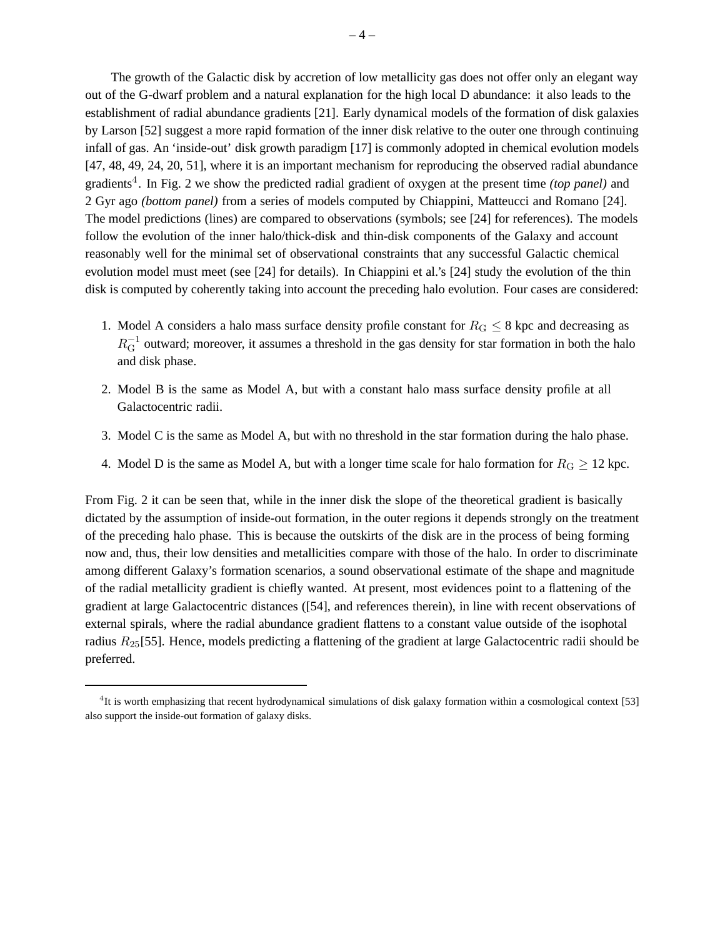The growth of the Galactic disk by accretion of low metallicity gas does not offer only an elegant way out of the G-dwarf problem and a natural explanation for the high local D abundance: it also leads to the establishment of radial abundance gradients [21]. Early dynamical models of the formation of disk galaxies by Larson [52] suggest a more rapid formation of the inner disk relative to the outer one through continuing infall of gas. An 'inside-out' disk growth paradigm [17] is commonly adopted in chemical evolution models [47, 48, 49, 24, 20, 51], where it is an important mechanism for reproducing the observed radial abundance gradients<sup>4</sup>. In Fig. 2 we show the predicted radial gradient of oxygen at the present time *(top panel)* and 2 Gyr ago *(bottom panel)* from a series of models computed by Chiappini, Matteucci and Romano [24]. The model predictions (lines) are compared to observations (symbols; see [24] for references). The models follow the evolution of the inner halo/thick-disk and thin-disk components of the Galaxy and account reasonably well for the minimal set of observational constraints that any successful Galactic chemical evolution model must meet (see [24] for details). In Chiappini et al.'s [24] study the evolution of the thin disk is computed by coherently taking into account the preceding halo evolution. Four cases are considered:

- 1. Model A considers a halo mass surface density profile constant for  $R_G \leq 8$  kpc and decreasing as  $R_{\rm G}^{-1}$  outward; moreover, it assumes a threshold in the gas density for star formation in both the halo and disk phase.
- 2. Model B is the same as Model A, but with a constant halo mass surface density profile at all Galactocentric radii.
- 3. Model C is the same as Model A, but with no threshold in the star formation during the halo phase.
- 4. Model D is the same as Model A, but with a longer time scale for halo formation for  $R_G \ge 12$  kpc.

From Fig. 2 it can be seen that, while in the inner disk the slope of the theoretical gradient is basically dictated by the assumption of inside-out formation, in the outer regions it depends strongly on the treatment of the preceding halo phase. This is because the outskirts of the disk are in the process of being forming now and, thus, their low densities and metallicities compare with those of the halo. In order to discriminate among different Galaxy's formation scenarios, a sound observational estimate of the shape and magnitude of the radial metallicity gradient is chiefly wanted. At present, most evidences point to a flattening of the gradient at large Galactocentric distances ([54], and references therein), in line with recent observations of external spirals, where the radial abundance gradient flattens to a constant value outside of the isophotal radius  $R_{25}$ [55]. Hence, models predicting a flattening of the gradient at large Galactocentric radii should be preferred.

 ${}^{4}$ It is worth emphasizing that recent hydrodynamical simulations of disk galaxy formation within a cosmological context [53] also support the inside-out formation of galaxy disks.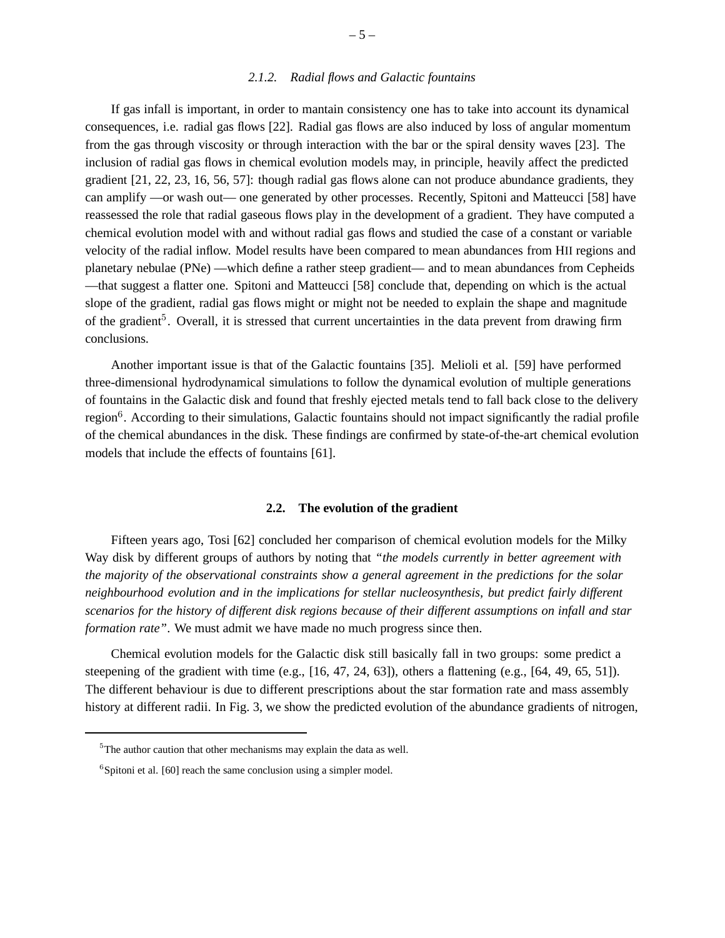### *2.1.2. Radial flows and Galactic fountains*

If gas infall is important, in order to mantain consistency one has to take into account its dynamical consequences, i.e. radial gas flows [22]. Radial gas flows are also induced by loss of angular momentum from the gas through viscosity or through interaction with the bar or the spiral density waves [23]. The inclusion of radial gas flows in chemical evolution models may, in principle, heavily affect the predicted gradient [21, 22, 23, 16, 56, 57]: though radial gas flows alone can not produce abundance gradients, they can amplify —or wash out— one generated by other processes. Recently, Spitoni and Matteucci [58] have reassessed the role that radial gaseous flows play in the development of a gradient. They have computed a chemical evolution model with and without radial gas flows and studied the case of a constant or variable velocity of the radial inflow. Model results have been compared to mean abundances from HII regions and planetary nebulae (PNe) —which define a rather steep gradient— and to mean abundances from Cepheids —that suggest a flatter one. Spitoni and Matteucci [58] conclude that, depending on which is the actual slope of the gradient, radial gas flows might or might not be needed to explain the shape and magnitude of the gradient<sup>5</sup>. Overall, it is stressed that current uncertainties in the data prevent from drawing firm conclusions.

Another important issue is that of the Galactic fountains [35]. Melioli et al. [59] have performed three-dimensional hydrodynamical simulations to follow the dynamical evolution of multiple generations of fountains in the Galactic disk and found that freshly ejected metals tend to fall back close to the delivery region<sup>6</sup>. According to their simulations, Galactic fountains should not impact significantly the radial profile of the chemical abundances in the disk. These findings are confirmed by state-of-the-art chemical evolution models that include the effects of fountains [61].

# **2.2. The evolution of the gradient**

Fifteen years ago, Tosi [62] concluded her comparison of chemical evolution models for the Milky Way disk by different groups of authors by noting that *"the models currently in better agreement with the majority of the observational constraints show a general agreement in the predictions for the solar neighbourhood evolution and in the implications for stellar nucleosynthesis, but predict fairly different scenarios for the history of different disk regions because of their different assumptions on infall and star formation rate"*. We must admit we have made no much progress since then.

Chemical evolution models for the Galactic disk still basically fall in two groups: some predict a steepening of the gradient with time (e.g., [16, 47, 24, 63]), others a flattening (e.g., [64, 49, 65, 51]). The different behaviour is due to different prescriptions about the star formation rate and mass assembly history at different radii. In Fig. 3, we show the predicted evolution of the abundance gradients of nitrogen,

<sup>&</sup>lt;sup>5</sup>The author caution that other mechanisms may explain the data as well.

 ${}^{6}$ Spitoni et al. [60] reach the same conclusion using a simpler model.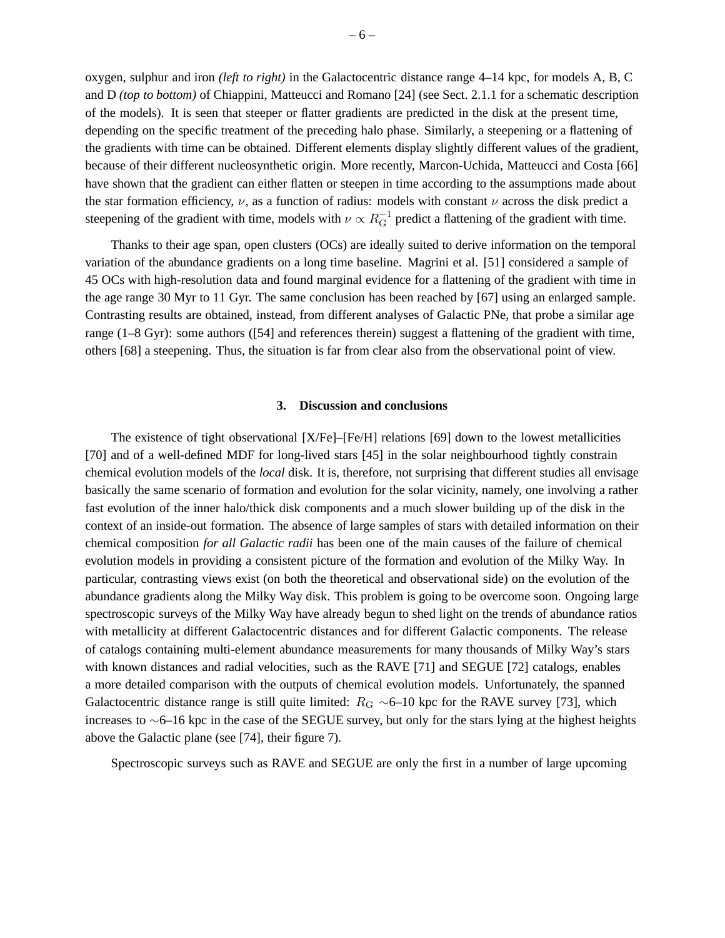oxygen, sulphur and iron *(left to right)* in the Galactocentric distance range 4–14 kpc, for models A, B, C and D *(top to bottom)* of Chiappini, Matteucci and Romano [24] (see Sect. 2.1.1 for a schematic description of the models). It is seen that steeper or flatter gradients are predicted in the disk at the present time, depending on the specific treatment of the preceding halo phase. Similarly, a steepening or a flattening of the gradients with time can be obtained. Different elements display slightly different values of the gradient, because of their different nucleosynthetic origin. More recently, Marcon-Uchida, Matteucci and Costa [66] have shown that the gradient can either flatten or steepen in time according to the assumptions made about the star formation efficiency,  $\nu$ , as a function of radius: models with constant  $\nu$  across the disk predict a steepening of the gradient with time, models with  $\nu \propto R_G^{-1}$  predict a flattening of the gradient with time.

Thanks to their age span, open clusters (OCs) are ideally suited to derive information on the temporal variation of the abundance gradients on a long time baseline. Magrini et al. [51] considered a sample of 45 OCs with high-resolution data and found marginal evidence for a flattening of the gradient with time in the age range 30 Myr to 11 Gyr. The same conclusion has been reached by [67] using an enlarged sample. Contrasting results are obtained, instead, from different analyses of Galactic PNe, that probe a similar age range (1–8 Gyr): some authors ([54] and references therein) suggest a flattening of the gradient with time, others [68] a steepening. Thus, the situation is far from clear also from the observational point of view.

#### **3. Discussion and conclusions**

The existence of tight observational [X/Fe]–[Fe/H] relations [69] down to the lowest metallicities [70] and of a well-defined MDF for long-lived stars [45] in the solar neighbourhood tightly constrain chemical evolution models of the *local* disk. It is, therefore, not surprising that different studies all envisage basically the same scenario of formation and evolution for the solar vicinity, namely, one involving a rather fast evolution of the inner halo/thick disk components and a much slower building up of the disk in the context of an inside-out formation. The absence of large samples of stars with detailed information on their chemical composition *for all Galactic radii* has been one of the main causes of the failure of chemical evolution models in providing a consistent picture of the formation and evolution of the Milky Way. In particular, contrasting views exist (on both the theoretical and observational side) on the evolution of the abundance gradients along the Milky Way disk. This problem is going to be overcome soon. Ongoing large spectroscopic surveys of the Milky Way have already begun to shed light on the trends of abundance ratios with metallicity at different Galactocentric distances and for different Galactic components. The release of catalogs containing multi-element abundance measurements for many thousands of Milky Way's stars with known distances and radial velocities, such as the RAVE [71] and SEGUE [72] catalogs, enables a more detailed comparison with the outputs of chemical evolution models. Unfortunately, the spanned Galactocentric distance range is still quite limited:  $R_G \sim 6$ –10 kpc for the RAVE survey [73], which increases to ∼6–16 kpc in the case of the SEGUE survey, but only for the stars lying at the highest heights above the Galactic plane (see [74], their figure 7).

Spectroscopic surveys such as RAVE and SEGUE are only the first in a number of large upcoming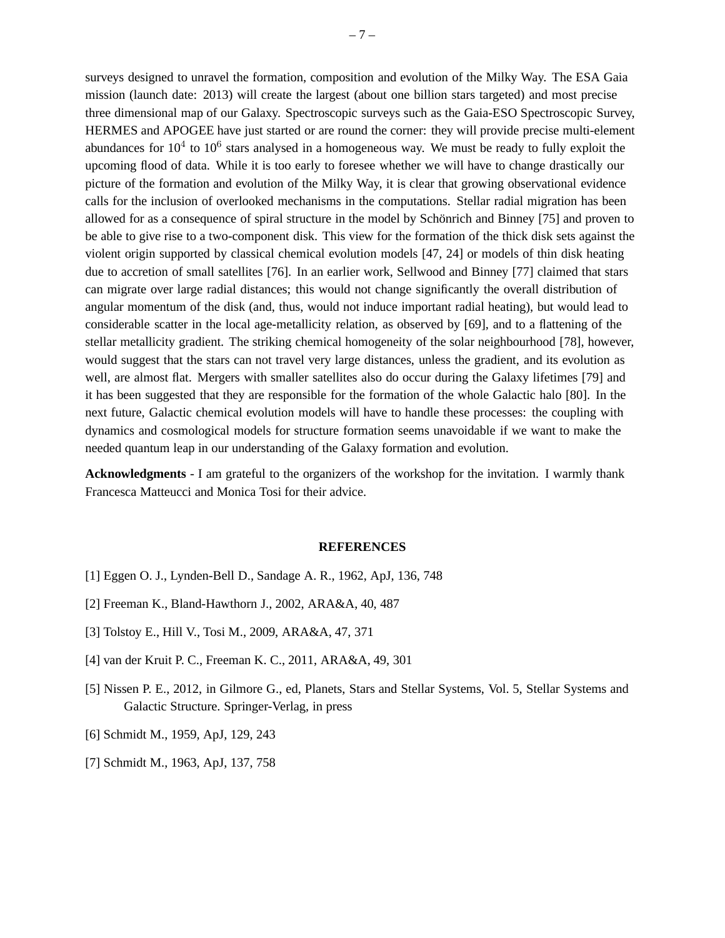surveys designed to unravel the formation, composition and evolution of the Milky Way. The ESA Gaia mission (launch date: 2013) will create the largest (about one billion stars targeted) and most precise three dimensional map of our Galaxy. Spectroscopic surveys such as the Gaia-ESO Spectroscopic Survey, HERMES and APOGEE have just started or are round the corner: they will provide precise multi-element abundances for  $10^4$  to  $10^6$  stars analysed in a homogeneous way. We must be ready to fully exploit the upcoming flood of data. While it is too early to foresee whether we will have to change drastically our picture of the formation and evolution of the Milky Way, it is clear that growing observational evidence calls for the inclusion of overlooked mechanisms in the computations. Stellar radial migration has been allowed for as a consequence of spiral structure in the model by Schönrich and Binney [75] and proven to be able to give rise to a two-component disk. This view for the formation of the thick disk sets against the violent origin supported by classical chemical evolution models [47, 24] or models of thin disk heating due to accretion of small satellites [76]. In an earlier work, Sellwood and Binney [77] claimed that stars can migrate over large radial distances; this would not change significantly the overall distribution of angular momentum of the disk (and, thus, would not induce important radial heating), but would lead to considerable scatter in the local age-metallicity relation, as observed by [69], and to a flattening of the stellar metallicity gradient. The striking chemical homogeneity of the solar neighbourhood [78], however, would suggest that the stars can not travel very large distances, unless the gradient, and its evolution as well, are almost flat. Mergers with smaller satellites also do occur during the Galaxy lifetimes [79] and it has been suggested that they are responsible for the formation of the whole Galactic halo [80]. In the next future, Galactic chemical evolution models will have to handle these processes: the coupling with dynamics and cosmological models for structure formation seems unavoidable if we want to make the needed quantum leap in our understanding of the Galaxy formation and evolution.

**Acknowledgments** - I am grateful to the organizers of the workshop for the invitation. I warmly thank Francesca Matteucci and Monica Tosi for their advice.

#### **REFERENCES**

- [1] Eggen O. J., Lynden-Bell D., Sandage A. R., 1962, ApJ, 136, 748
- [2] Freeman K., Bland-Hawthorn J., 2002, ARA&A, 40, 487
- [3] Tolstoy E., Hill V., Tosi M., 2009, ARA&A, 47, 371
- [4] van der Kruit P. C., Freeman K. C., 2011, ARA&A, 49, 301
- [5] Nissen P. E., 2012, in Gilmore G., ed, Planets, Stars and Stellar Systems, Vol. 5, Stellar Systems and Galactic Structure. Springer-Verlag, in press
- [6] Schmidt M., 1959, ApJ, 129, 243
- [7] Schmidt M., 1963, ApJ, 137, 758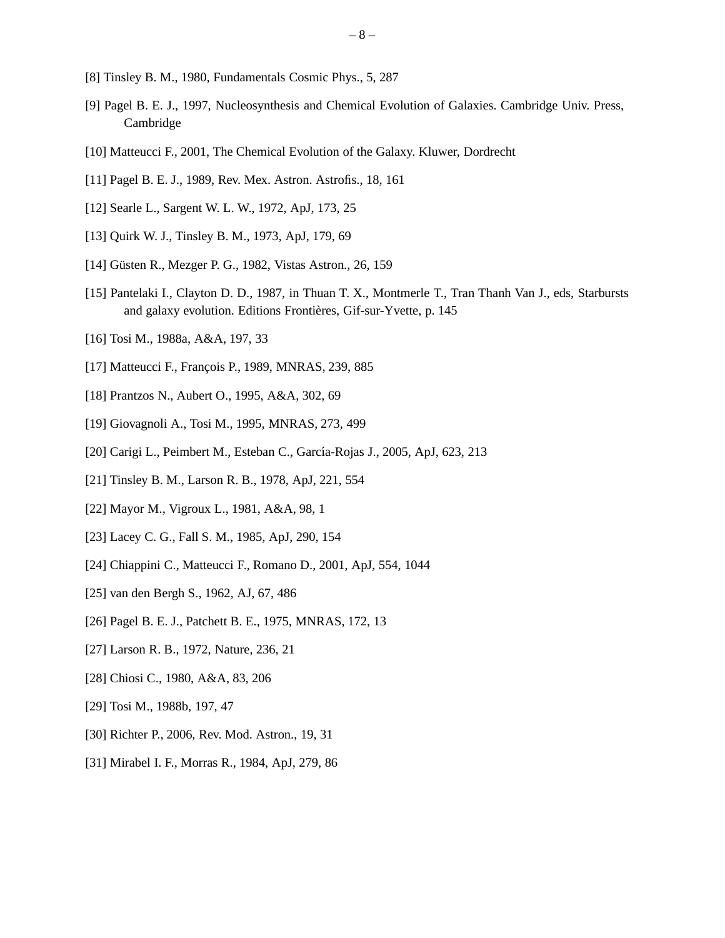- [8] Tinsley B. M., 1980, Fundamentals Cosmic Phys., 5, 287
- [9] Pagel B. E. J., 1997, Nucleosynthesis and Chemical Evolution of Galaxies. Cambridge Univ. Press, Cambridge
- [10] Matteucci F., 2001, The Chemical Evolution of the Galaxy. Kluwer, Dordrecht
- [11] Pagel B. E. J., 1989, Rev. Mex. Astron. Astrofis., 18, 161
- [12] Searle L., Sargent W. L. W., 1972, ApJ, 173, 25
- [13] Quirk W. J., Tinsley B. M., 1973, ApJ, 179, 69
- [14] Güsten R., Mezger P. G., 1982, Vistas Astron., 26, 159
- [15] Pantelaki I., Clayton D. D., 1987, in Thuan T. X., Montmerle T., Tran Thanh Van J., eds, Starbursts and galaxy evolution. Editions Frontières, Gif-sur-Yvette, p. 145
- [16] Tosi M., 1988a, A&A, 197, 33
- [17] Matteucci F., François P., 1989, MNRAS, 239, 885
- [18] Prantzos N., Aubert O., 1995, A&A, 302, 69
- [19] Giovagnoli A., Tosi M., 1995, MNRAS, 273, 499
- [20] Carigi L., Peimbert M., Esteban C., García-Rojas J., 2005, ApJ, 623, 213
- [21] Tinsley B. M., Larson R. B., 1978, ApJ, 221, 554
- [22] Mayor M., Vigroux L., 1981, A&A, 98, 1
- [23] Lacey C. G., Fall S. M., 1985, ApJ, 290, 154
- [24] Chiappini C., Matteucci F., Romano D., 2001, ApJ, 554, 1044
- [25] van den Bergh S., 1962, AJ, 67, 486
- [26] Pagel B. E. J., Patchett B. E., 1975, MNRAS, 172, 13
- [27] Larson R. B., 1972, Nature, 236, 21
- [28] Chiosi C., 1980, A&A, 83, 206
- [29] Tosi M., 1988b, 197, 47
- [30] Richter P., 2006, Rev. Mod. Astron., 19, 31
- [31] Mirabel I. F., Morras R., 1984, ApJ, 279, 86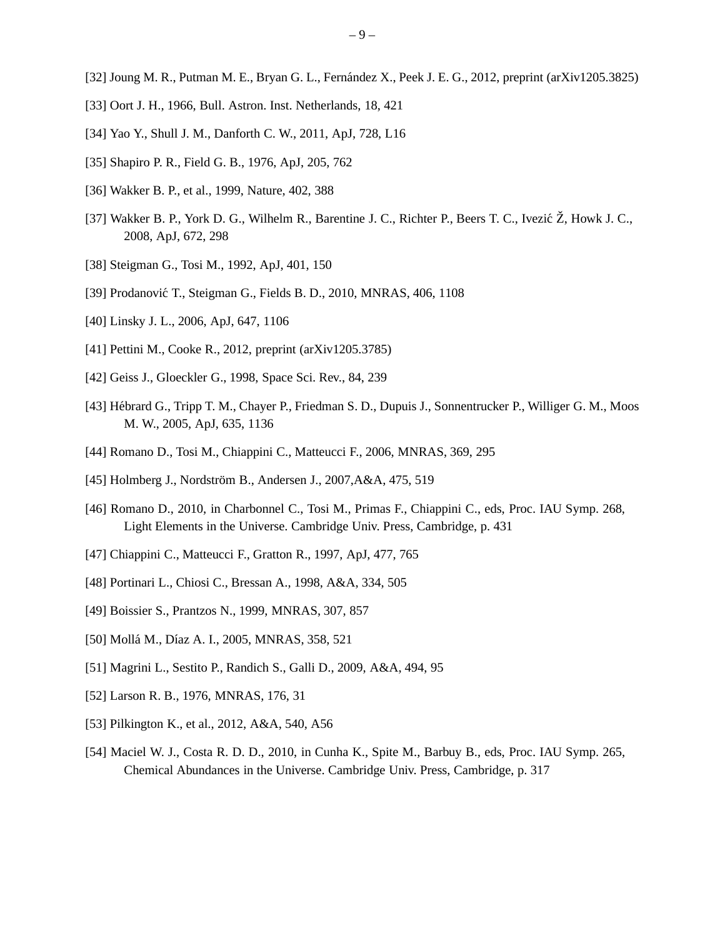- [32] Joung M. R., Putman M. E., Bryan G. L., Fernández X., Peek J. E. G., 2012, preprint (arXiv1205.3825)
- [33] Oort J. H., 1966, Bull. Astron. Inst. Netherlands, 18, 421
- [34] Yao Y., Shull J. M., Danforth C. W., 2011, ApJ, 728, L16
- [35] Shapiro P. R., Field G. B., 1976, ApJ, 205, 762
- [36] Wakker B. P., et al., 1999, Nature, 402, 388
- [37] Wakker B. P., York D. G., Wilhelm R., Barentine J. C., Richter P., Beers T. C., Ivezić Ž, Howk J. C., 2008, ApJ, 672, 298
- [38] Steigman G., Tosi M., 1992, ApJ, 401, 150
- [39] Prodanović T., Steigman G., Fields B. D., 2010, MNRAS, 406, 1108
- [40] Linsky J. L., 2006, ApJ, 647, 1106
- [41] Pettini M., Cooke R., 2012, preprint (arXiv1205.3785)
- [42] Geiss J., Gloeckler G., 1998, Space Sci. Rev., 84, 239
- [43] Hébrard G., Tripp T. M., Chayer P., Friedman S. D., Dupuis J., Sonnentrucker P., Williger G. M., Moos M. W., 2005, ApJ, 635, 1136
- [44] Romano D., Tosi M., Chiappini C., Matteucci F., 2006, MNRAS, 369, 295
- [45] Holmberg J., Nordström B., Andersen J., 2007, A&A, 475, 519
- [46] Romano D., 2010, in Charbonnel C., Tosi M., Primas F., Chiappini C., eds, Proc. IAU Symp. 268, Light Elements in the Universe. Cambridge Univ. Press, Cambridge, p. 431
- [47] Chiappini C., Matteucci F., Gratton R., 1997, ApJ, 477, 765
- [48] Portinari L., Chiosi C., Bressan A., 1998, A&A, 334, 505
- [49] Boissier S., Prantzos N., 1999, MNRAS, 307, 857
- [50] Mollá M., Díaz A. I., 2005, MNRAS, 358, 521
- [51] Magrini L., Sestito P., Randich S., Galli D., 2009, A&A, 494, 95
- [52] Larson R. B., 1976, MNRAS, 176, 31
- [53] Pilkington K., et al., 2012, A&A, 540, A56
- [54] Maciel W. J., Costa R. D. D., 2010, in Cunha K., Spite M., Barbuy B., eds, Proc. IAU Symp. 265, Chemical Abundances in the Universe. Cambridge Univ. Press, Cambridge, p. 317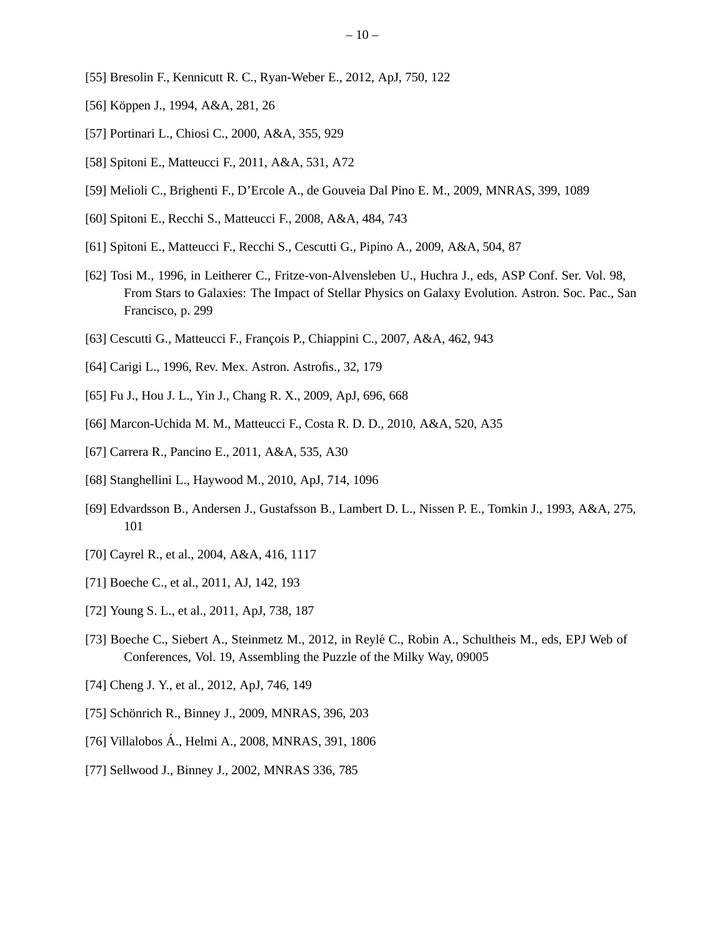- [55] Bresolin F., Kennicutt R. C., Ryan-Weber E., 2012, ApJ, 750, 122
- [56] Köppen J., 1994, A&A, 281, 26
- [57] Portinari L., Chiosi C., 2000, A&A, 355, 929
- [58] Spitoni E., Matteucci F., 2011, A&A, 531, A72
- [59] Melioli C., Brighenti F., D'Ercole A., de Gouveia Dal Pino E. M., 2009, MNRAS, 399, 1089
- [60] Spitoni E., Recchi S., Matteucci F., 2008, A&A, 484, 743
- [61] Spitoni E., Matteucci F., Recchi S., Cescutti G., Pipino A., 2009, A&A, 504, 87
- [62] Tosi M., 1996, in Leitherer C., Fritze-von-Alvensleben U., Huchra J., eds, ASP Conf. Ser. Vol. 98, From Stars to Galaxies: The Impact of Stellar Physics on Galaxy Evolution. Astron. Soc. Pac., San Francisco, p. 299
- [63] Cescutti G., Matteucci F., François P., Chiappini C., 2007, A&A, 462, 943
- [64] Carigi L., 1996, Rev. Mex. Astron. Astrofis., 32, 179
- [65] Fu J., Hou J. L., Yin J., Chang R. X., 2009, ApJ, 696, 668
- [66] Marcon-Uchida M. M., Matteucci F., Costa R. D. D., 2010, A&A, 520, A35
- [67] Carrera R., Pancino E., 2011, A&A, 535, A30
- [68] Stanghellini L., Haywood M., 2010, ApJ, 714, 1096
- [69] Edvardsson B., Andersen J., Gustafsson B., Lambert D. L., Nissen P. E., Tomkin J., 1993, A&A, 275, 101
- [70] Cayrel R., et al., 2004, A&A, 416, 1117
- [71] Boeche C., et al., 2011, AJ, 142, 193
- [72] Young S. L., et al., 2011, ApJ, 738, 187
- [73] Boeche C., Siebert A., Steinmetz M., 2012, in Reylé C., Robin A., Schultheis M., eds, EPJ Web of Conferences, Vol. 19, Assembling the Puzzle of the Milky Way, 09005
- [74] Cheng J. Y., et al., 2012, ApJ, 746, 149
- [75] Schönrich R., Binney J., 2009, MNRAS, 396, 203
- [76] Villalobos A., Helmi A., 2008, MNRAS, 391, 1806 ´
- [77] Sellwood J., Binney J., 2002, MNRAS 336, 785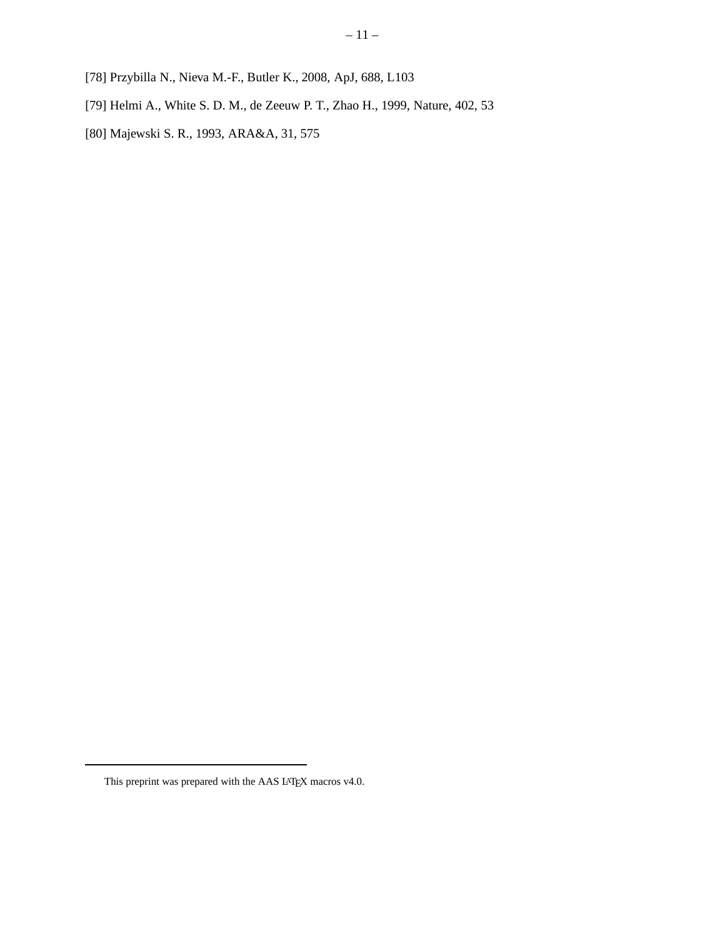- [78] Przybilla N., Nieva M.-F., Butler K., 2008, ApJ, 688, L103
- [79] Helmi A., White S. D. M., de Zeeuw P. T., Zhao H., 1999, Nature, 402, 53
- [80] Majewski S. R., 1993, ARA&A, 31, 575

This preprint was prepared with the AAS L<sup>AT</sup>E<sup>X</sup> macros v4.0.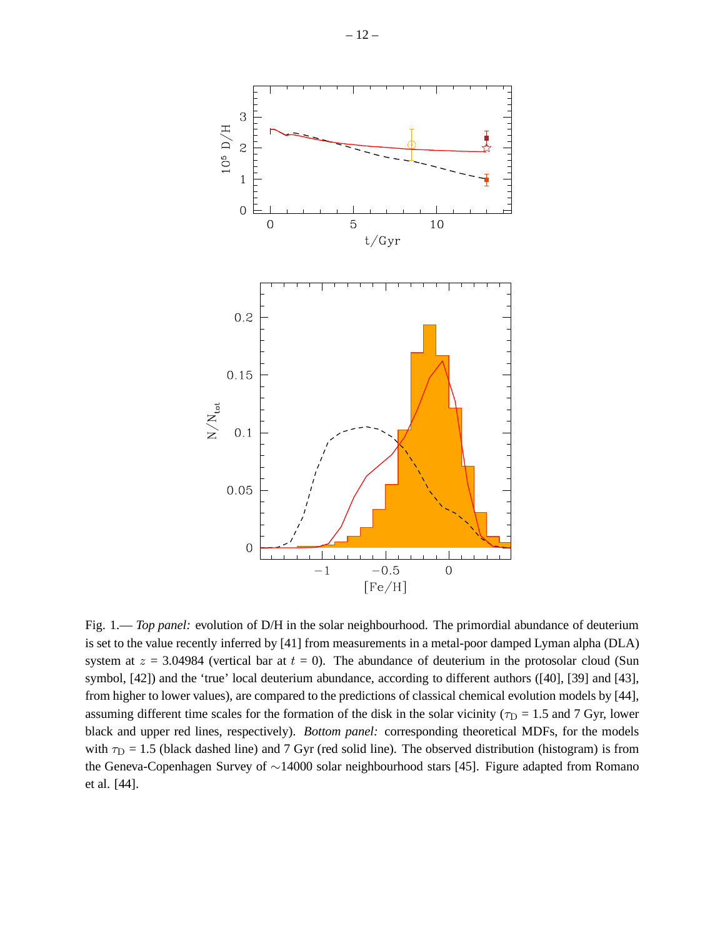

Fig. 1.— *Top panel:* evolution of D/H in the solar neighbourhood. The primordial abundance of deuterium is set to the value recently inferred by [41] from measurements in a metal-poor damped Lyman alpha (DLA) system at  $z = 3.04984$  (vertical bar at  $t = 0$ ). The abundance of deuterium in the protosolar cloud (Sun symbol, [42]) and the 'true' local deuterium abundance, according to different authors ([40], [39] and [43], from higher to lower values), are compared to the predictions of classical chemical evolution models by [44], assuming different time scales for the formation of the disk in the solar vicinity ( $\tau_D = 1.5$  and 7 Gyr, lower black and upper red lines, respectively). *Bottom panel:* corresponding theoretical MDFs, for the models with  $\tau_D = 1.5$  (black dashed line) and 7 Gyr (red solid line). The observed distribution (histogram) is from the Geneva-Copenhagen Survey of ∼14000 solar neighbourhood stars [45]. Figure adapted from Romano et al. [44].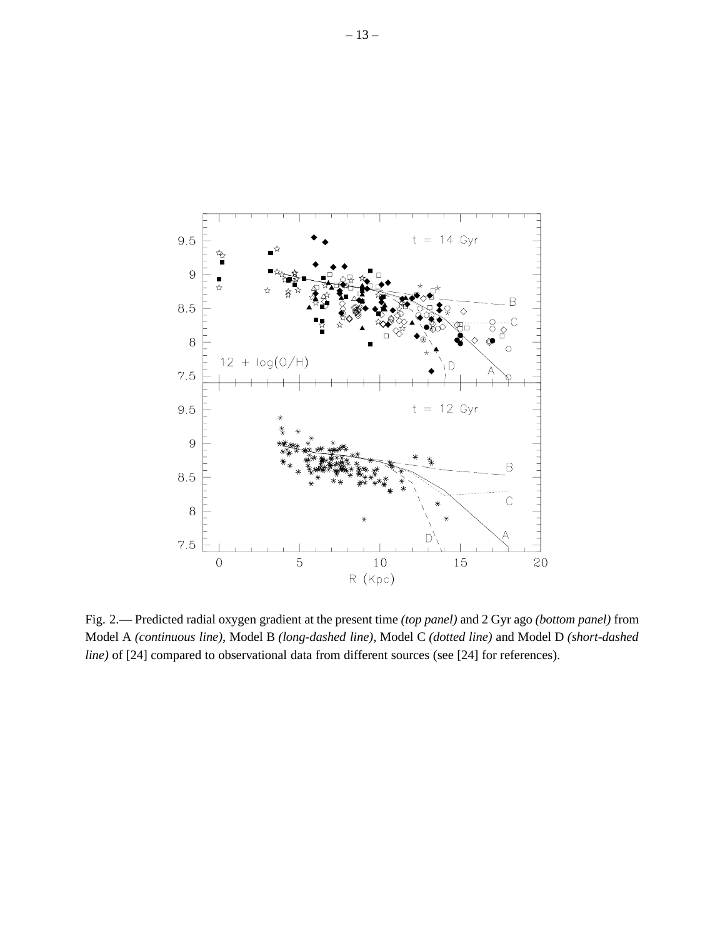

Fig. 2.— Predicted radial oxygen gradient at the present time *(top panel)* and 2 Gyr ago *(bottom panel)* from Model A *(continuous line)*, Model B *(long-dashed line)*, Model C *(dotted line)* and Model D *(short-dashed line)* of [24] compared to observational data from different sources (see [24] for references).